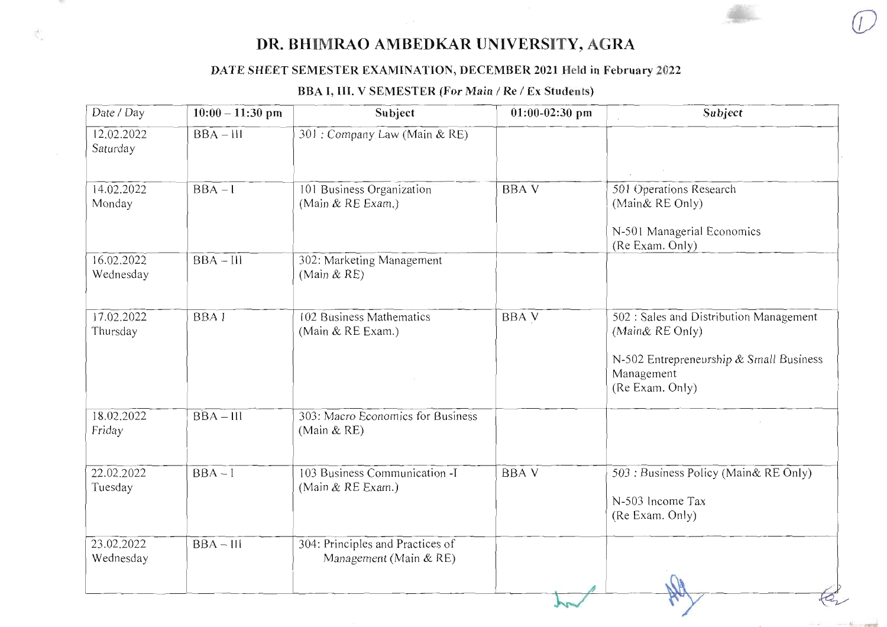### DATE SHEET SEMESTER EXAMINATION, DECEMBER 2021 Held in February 2022

### BBA I, III. V SEMESTER (For Main / Re / Ex Students)

| Date / Day              | $10:00 - 11:30$ pm | Subject                                                    | $01:00-02:30$ pm | Subject                                                                                                                                |
|-------------------------|--------------------|------------------------------------------------------------|------------------|----------------------------------------------------------------------------------------------------------------------------------------|
| 12.02.2022<br>Saturday  | $BBA - III$        | 301 : Company Law (Main & RE)                              |                  |                                                                                                                                        |
| 14.02.2022<br>Monday    | $BBA - 1$          | 101 Business Organization<br>(Main & RE Exam.)             | <b>BBAV</b>      | 501 Operations Research<br>(Main& RE Only)<br>N-501 Managerial Economics<br>(Re Exam. Only)                                            |
| 16.02.2022<br>Wednesday | $BBA - III$        | 302: Marketing Management<br>(Main $&RE$ )                 |                  |                                                                                                                                        |
| 17.02.2022<br>Thursday  | <b>BBAI</b>        | 102 Business Mathematics<br>(Main & RE Exam.)              | <b>BBA V</b>     | 502 : Sales and Distribution Management<br>(Main& RE Only)<br>N-502 Entrepreneurship & Small Business<br>Management<br>(Re Exam. Only) |
| 18.02.2022<br>Friday    | $BBA - III$        | 303: Macro Economics for Business<br>(Main & RE)           |                  |                                                                                                                                        |
| 22.02.2022<br>Tuesday   | $BBA-I$            | 103 Business Communication -I<br>(Main & RE Exam.)         | <b>BBAV</b>      | 503 : Business Policy (Main & RE Only)<br>N-503 Income Tax<br>(Re Exam. Only)                                                          |
| 23.02.2022<br>Wednesday | $BBA - III$        | 304: Principles and Practices of<br>Management (Main & RE) |                  |                                                                                                                                        |

1,700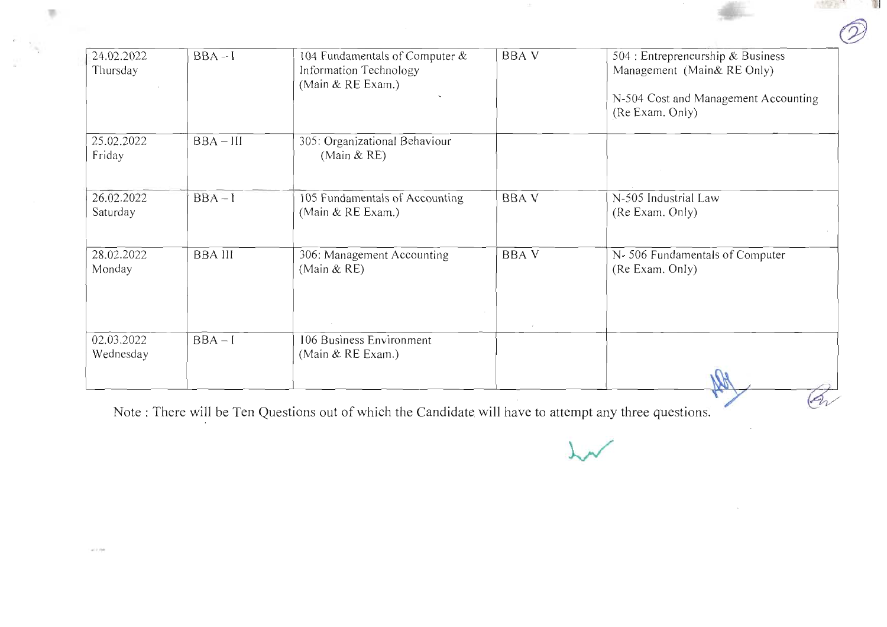| 24.02.2022 | $BBA-I$        | 104 Fundamentals of Computer & | <b>BBA V</b> | 504 : Entrepreneurship & Business    |
|------------|----------------|--------------------------------|--------------|--------------------------------------|
| Thursday   |                | Information Technology         |              | Management (Main& RE Only)           |
|            |                | (Main $&$ RE Exam.)            |              |                                      |
|            |                |                                |              | N-504 Cost and Management Accounting |
|            |                |                                |              | (Re Exam. Only)                      |
| 25.02.2022 | $BBA - III$    | 305: Organizational Behaviour  |              |                                      |
| Friday     |                | (Main $&RE$ )                  |              |                                      |
|            |                |                                |              |                                      |
|            |                |                                |              |                                      |
| 26.02.2022 | $BBA-I$        | 105 Fundamentals of Accounting | <b>BBA V</b> | N-505 Industrial Law                 |
| Saturday   |                | (Main & RE Exam.)              |              | (Re Exam. Only)                      |
|            |                |                                |              |                                      |
| 28.02.2022 | <b>BBA III</b> | 306: Management Accounting     | <b>BBAV</b>  | N-506 Fundamentals of Computer       |
| Monday     |                | (Main $&RE$ )                  |              | (Re Exam. Only)                      |
|            |                |                                |              |                                      |
|            |                |                                |              |                                      |
|            |                |                                |              |                                      |
| 02.03.2022 | $BBA-I$        | 106 Business Environment       |              |                                      |
| Wednesday  |                | (Main & RE Exam.)              |              |                                      |
|            |                |                                |              |                                      |
|            |                |                                |              |                                      |

 $\sim$ 

**THE ATT** 

 $\frac{1}{2}$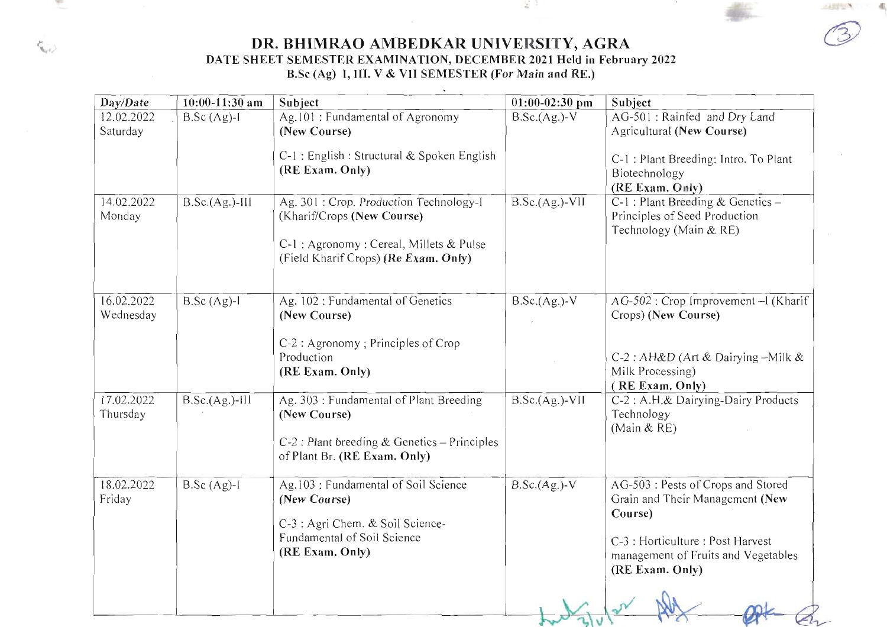DR. BHIMRAO AMBEDKAR UNIVERSITY, AGRA DATE SHEET SEMESTER EXAMINATION, DECEMBER 2021 Held in February 2022<br>B.Sc (Ag) 1, III. V & VII SEMESTER (For Main and RE.)

| Day/Date                | $10:00 - 11:30$ am | Subject                                                                                                                                                  | $01:00-02:30$ pm | Subject                                                                                                                                                                         |
|-------------------------|--------------------|----------------------------------------------------------------------------------------------------------------------------------------------------------|------------------|---------------------------------------------------------------------------------------------------------------------------------------------------------------------------------|
| 12.02.2022<br>Saturday  | $B.Sc (Ag)-I$      | Ag.101: Fundamental of Agronomy<br>(New Course)                                                                                                          | $B.Sc.(Ag.)-V$   | AG-501 : Rainfed and Dry Land<br>Agricultural (New Course)                                                                                                                      |
|                         |                    | C-1 : English : Structural & Spoken English<br>(RE Exam. Only)                                                                                           |                  | C-1 : Plant Breeding: Intro. To Plant<br>Biotechnology<br>(RE Exam. Cnly)                                                                                                       |
| 14.02.2022<br>Monday    | $B.Sc.(Ag.)-III$   | Ag. 301: Crop. Production Technology-I<br>(Kharif/Crops (New Course)<br>C-1 : Agronomy : Cereal, Millets & Pulse<br>(Field Kharif Crops) (Re Exam. Only) | $B.Sc.(Ag.)-VII$ | C-1 : Plant Breeding & Genetics -<br>Principles of Seed Production<br>Technology (Main & RE)                                                                                    |
| 16.02.2022<br>Wednesday | $B.Sc (Ag)-I$      | Ag. 102: Fundamental of Genetics<br>(New Course)<br>C-2 : Agronomy ; Principles of Crop<br>Production<br>(RE Exam. Only)                                 | $B.Sc.(Ag.)-V$   | AG-502 : Crop Improvement - I (Kharif<br>Crops) (New Course)<br>C-2 : AH&D (Art & Dairying -Milk &<br>Milk Processing)<br>(RE Exam. Only)                                       |
| 17.02.2022<br>Thursday  | $B.Sc.(Ag.)-III$   | Ag. 303 : Fundamental of Plant Breeding<br>(New Course)<br>$C-2$ : Plant breeding & Genetics - Principles<br>of Plant Br. (RE Exam. Only)                | $B.Sc.(Ag.)-VII$ | C-2 : A.H.& Dairying-Dairy Products<br>Technology<br>(Main & RE)                                                                                                                |
| 18.02.2022<br>Friday    | $B.Sc (Ag)-I$      | Ag.103 : Fundamental of Soil Science<br>(New Course)<br>C-3 : Agri Chem. & Soil Science-<br>Fundamental of Soil Science<br>(RE Exam. Only)               | $B.Sc.(Ag.)-V$   | AG-503 : Pests of Crops and Stored<br>Grain and Their Management (New<br>Course)<br>C-3 : Horticulture : Post Harvest<br>management of Fruits and Vegetables<br>(RE Exam. Only) |
|                         |                    |                                                                                                                                                          |                  |                                                                                                                                                                                 |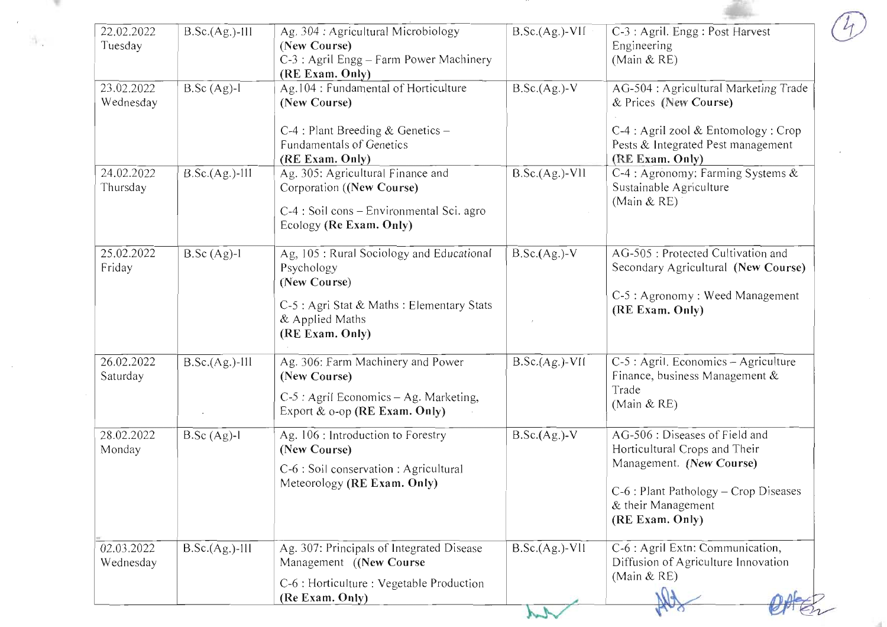| 22.02.2022<br>Tuesday   | $B.Sc.(Ag.)-III$ | Ag. 304 : Agricultural Microbiology<br>(New Course)<br>C-3 : Agril Engg - Farm Power Machinery<br>(RE Exam. Only)                                           | $B.Sc.(Ag.)-VII$ | C-3 : Agril. Engg : Post Harvest<br>Engineering<br>(Main $&RE$ )                                                                                                                |
|-------------------------|------------------|-------------------------------------------------------------------------------------------------------------------------------------------------------------|------------------|---------------------------------------------------------------------------------------------------------------------------------------------------------------------------------|
| 23.02.2022<br>Wednesday | $B.Sc (Ag)-I$    | Ag.104 : Fundamental of Horticulture<br>(New Course)<br>$C-4$ : Plant Breeding & Genetics -<br>Fundamentals of Genetics<br>(RE Exam. Only)                  | $B.Sc.(Ag.)-V$   | AG-504 : Agricultural Marketing Trade<br>& Prices (New Course)<br>C-4 : Agril zool & Entomology : Crop<br>Pests & Integrated Pest management<br>(RE Exam. Only)                 |
| 24.02.2022<br>Thursday  | $B.Sc.(Ag.)-III$ | Ag. 305: Agricultural Finance and<br>Corporation ((New Course)<br>C-4 : Soil cons – Environmental Sci. agro<br>Ecology (Re Exam. Only)                      | $B.Sc.(Ag.)-V11$ | C-4 : Agronomy: Farming Systems &<br>Sustainable Agriculture<br>(Main $&RE$ )                                                                                                   |
| 25.02.2022<br>Friday    | $B.Sc (Ag)-l$    | Ag, 105 : Rural Sociology and Educational<br>Psychology<br>(New Course)<br>C-5 : Agri Stat & Maths : Elementary Stats<br>& Applied Maths<br>(RE Exam. Only) | $B.Sc.(Ag.)-V$   | AG-505 : Protected Cultivation and<br>Secondary Agricultural (New Course)<br>C-5 : Agronomy : Weed Management<br>(RE Exam. Only)                                                |
| 26.02.2022<br>Saturday  | $B.Sc.(Ag.)-III$ | Ag. 306: Farm Machinery and Power<br>(New Course)<br>C-5 : Agril Economics - Ag. Marketing,<br>Export $\&$ o-op (RE Exam. Only)                             | $B.Sc.(Ag.)-V11$ | C-5 : Agril. Economics - Agriculture<br>Finance, business Management &<br>Trade<br>(Main & RE)                                                                                  |
| 28.02.2022<br>Monday    | $B.Sc (Ag)-l$    | Ag. 106 : Introduction to Forestry<br>(New Course)<br>C-6 : Soil conservation : Agricultural<br>Meteorology (RE Exam. Only)                                 | $B.Sc.(Ag.)-V$   | AG-506 : Diseases of Field and<br>Horticultural Crops and Their<br>Management. (New Course)<br>$C-6$ : Plant Pathology – Crop Diseases<br>& their Management<br>(RE Exam. Only) |
| 02.03.2022<br>Wednesday | $B.Sc.(Ag.)-III$ | Ag. 307: Principals of Integrated Disease<br>Management ((New Course<br>C-6 : Horticulture : Vegetable Production<br>(Re Exam. Only)                        | $B.Sc.(Ag.)-VII$ | C-6 : Agril Extn: Communication,<br>Diffusion of Agriculture Innovation<br>(Main $&RE$ )                                                                                        |

 $\sim$ 

 $\sim 10^6$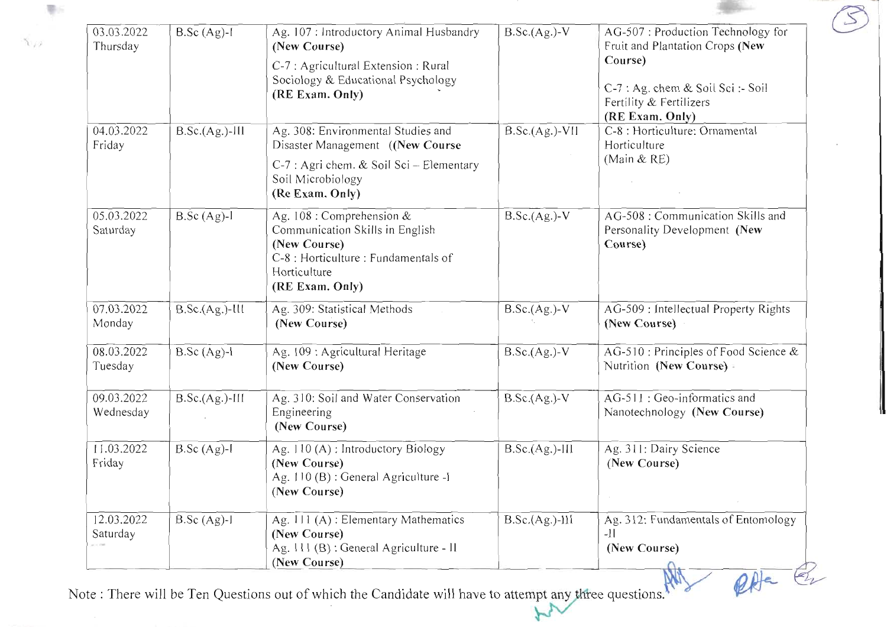| 03.03.2022<br>Thursday             | $B.Sc (Ag)-1$    | Ag. 107 : Introductory Animal Husbandry<br>(New Course)                                                                                                    | $B.Sc.(Ag.)-V$   | AG-507: Production Technology for<br>Fruit and Plantation Crops (New                       |
|------------------------------------|------------------|------------------------------------------------------------------------------------------------------------------------------------------------------------|------------------|--------------------------------------------------------------------------------------------|
|                                    |                  | C-7 : Agricultural Extension : Rural<br>Sociology & Educational Psychology<br>(RE Exam. Only)                                                              |                  | Course)<br>C-7 : Ag. chem & Soil Sci :- Soil<br>Fertility & Fertilizers<br>(RE Exam. Only) |
| 04.03.2022<br>Friday               | $B.Sc.(Ag.)-III$ | Ag. 308: Environmental Studies and<br>Disaster Management ((New Course<br>C-7 : Agri chem. & Soil Sci - Elementary<br>Soil Microbiology<br>(Re Exam. Only) | $B.Sc.(Ag.)-VII$ | C-8 : Horticulture: Ornamental<br>Horticulture<br>(Main $&RE$ )                            |
| 05.03.2022<br>Saturday             | $B.Sc (Ag)-l$    | Ag. 108 : Comprehension &<br>Communication Skills in English<br>(New Course)<br>C-8 : Horticulture : Fundamentals of<br>Horticulture<br>(RE Exam. Only)    | $B.Sc.(Ag.)-V$   | AG-508 : Communication Skills and<br>Personality Development (New<br>Course)               |
| 07.03.2022<br>Monday               | $B.Sc.(Ag.)-III$ | Ag. 309: Statistical Methods<br>(New Course)                                                                                                               | $B.Sc.(Ag.)-V$   | AG-509 : Intellectual Property Rights<br>(New Course)                                      |
| 08.03.2022<br>Tuesday              | $B.Sc (Ag)-l$    | Ag. 109 : Agricultural Heritage<br>(New Course)                                                                                                            | $B.Sc.(Ag.)-V$   | AG-510 : Principles of Food Science $&$<br>Nutrition (New Course)                          |
| 09.03.2022<br>Wednesday            | $B.Sc.(Ag.)-III$ | Ag. 310: Soil and Water Conservation<br>Engineering<br>(New Course)                                                                                        | $B.Sc.(Ag.)-V$   | AG-511 : Geo-informatics and<br>Nanotechnology (New Course)                                |
| 11.03.2022<br>Friday               | $B.Sc (Ag)-I$    | Ag. 110 (A) : Introductory Biology<br>(New Course)<br>Ag. 110 (B) : General Agriculture -I<br>(New Course)                                                 | $B.Sc.(Ag.)-III$ | Ag. 311: Dairy Science<br>(New Course)                                                     |
| 12.03.2022<br>Saturday<br>45.1.178 | $B.Sc (Ag)-I$    | Ag. 111 (A): Elementary Mathematics<br>(New Course)<br>Ag. 111 (B) : General Agriculture - II<br>(New Course)                                              | $B.Sc.(Ag.)-111$ | Ag. 312: Fundamentals of Entomology<br>$-11$<br>(New Course)                               |

 $\overline{\psi}$ 

 $\chi_{12}$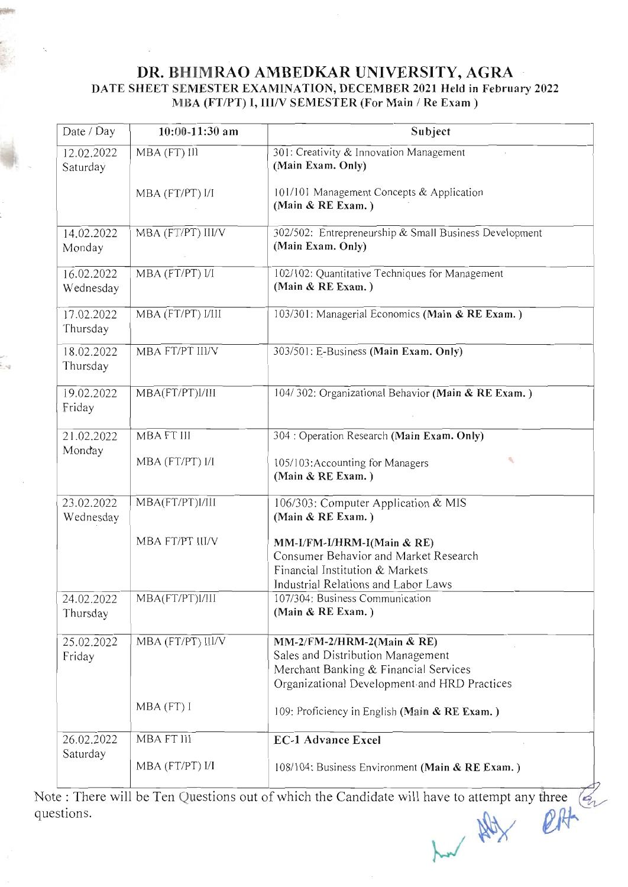### DR. BHIMRAO AMBEDKAR UNIVERSITY, AGRA DATE SHEET SEMESTER EXAMINATION, DECEMBER 2021 Held in February 2022 MBA (FT/PT) I, III/V SEMESTER (For Main / Re Exam )

| Date / Day              | $10:00 - 11:30$ am | Subject                                                                                                                                                  |
|-------------------------|--------------------|----------------------------------------------------------------------------------------------------------------------------------------------------------|
| 12.02.2022<br>Saturday  | MBA (FT) III       | 301: Creativity & Innovation Management<br>(Main Exam. Only)                                                                                             |
|                         | MBA (FT/PT) I/I    | 101/101 Management Concepts & Application<br>(Main & RE Exam.)                                                                                           |
| 14.02.2022<br>Monday    | MBA (FT/PT) III/V  | 302/502: Entrepreneurship & Small Business Development<br>(Main Exam. Only)                                                                              |
| 16.02.2022<br>Wednesday | MBA (FT/PT) I/I    | 102/102: Quantitative Techniques for Management<br>(Main & RE Exam.)                                                                                     |
| 17.02.2022<br>Thursday  | MBA (FT/PT) I/III  | 103/301: Managerial Economics (Main & RE Exam.)                                                                                                          |
| 18.02.2022<br>Thursday  | MBA FT/PT III/V    | 303/501: E-Business (Main Exam. Only)                                                                                                                    |
| 19.02.2022<br>Friday    | MBA(FT/PT)I/III    | 104/302: Organizational Behavior (Main & RE Exam.)                                                                                                       |
| 21.02.2022              | <b>MBA FT III</b>  | 304 : Operation Research (Main Exam. Only)                                                                                                               |
| Monday                  | MBA (FT/PT) I/I    | 105/103: Accounting for Managers<br>V.<br>(Main & RE Exam.)                                                                                              |
| 23.02.2022<br>Wednesday | MBA(FT/PT)I/III    | 106/303: Computer Application & MIS<br>(Main & RE Exam.)                                                                                                 |
|                         | MBA FT/PT III/V    | MM-I/FM-I/HRM-I(Main & RE)<br>Consumer Behavior and Market Research<br>Financial Institution & Markets<br>Industrial Relations and Labor Laws            |
| 24.02.2022<br>Thursday  | MBA(FT/PT)l/III    | 107/304: Business Communication<br>(Main & RE Exam.)                                                                                                     |
| 25.02.2022<br>Friday    | MBA (FT/PT) III/V  | MM-2/FM-2/HRM-2(Main & RE)<br>Sales and Distribution Management<br>Merchant Banking & Financial Services<br>Organizational Development and HRD Practices |
|                         | MBA (FT) I         | 109: Proficiency in English (Main & RE Exam.)                                                                                                            |
| 26.02.2022<br>Saturday  | MBA FT III         | <b>EC-1 Advance Excel</b>                                                                                                                                |
|                         | MBA (FT/PT) I/I    | 108/104: Business Environment (Main & RE Exam.)                                                                                                          |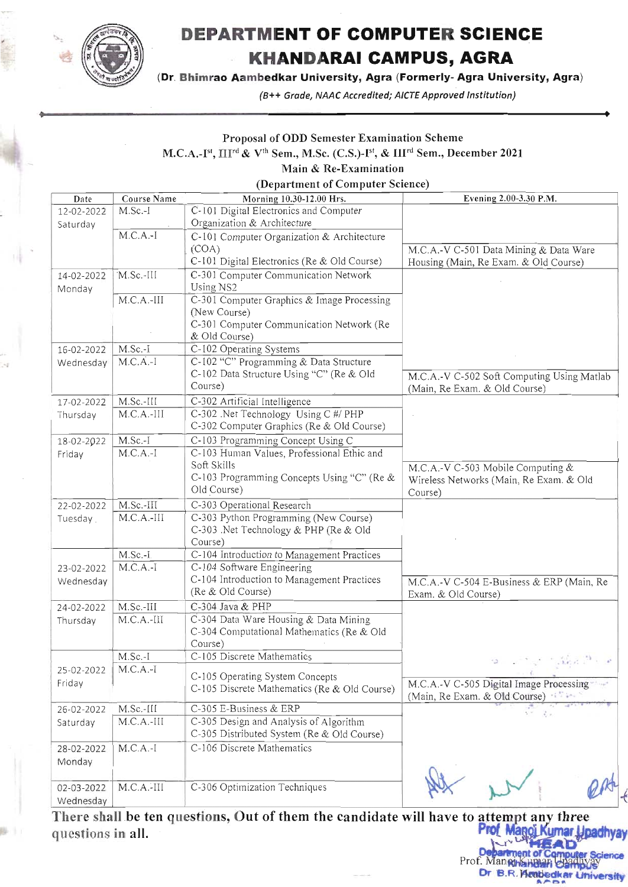

# DEPARTMENT OF COMPUTER SCIENCE **KHANDARAI CAMPUS, AGRA**

(Dr. Bhimrao Aambedkar University, Agra (Formerly- Agra University, Agra)

(B++ Grade, NAAC Accredited; AICTE Approved Institution)

### Proposal of ODD Semester Examination Scheme

M.C.A.-Ist,  $\prod^{rd}$  & V<sup>th</sup> Sem., M.Sc. (C.S.)-Ist, & III<sup>rd</sup> Sem., December 2021

### Main & Re-Examination

(Department of Computer Science)

| Date       | Course Name  | Morning 10.30-12.00 Hrs.                     | Evening 2.00-3.30 P.M.                                                                                                                                                        |
|------------|--------------|----------------------------------------------|-------------------------------------------------------------------------------------------------------------------------------------------------------------------------------|
| 12-02-2022 | M.Sc.-I      | C-101 Digital Electronics and Computer       |                                                                                                                                                                               |
| Saturday   |              | Organization & Architecture                  |                                                                                                                                                                               |
|            | $M.C.A.-I$   | C-101 Computer Organization & Architecture   |                                                                                                                                                                               |
|            |              | (COA)                                        | M.C.A.-V C-501 Data Mining & Data Ware                                                                                                                                        |
|            |              | C-101 Digital Electronics (Re & Old Course)  | Housing (Main, Re Exam. & Old Course)                                                                                                                                         |
| 14-02-2022 | M.Sc.-III    | C-301 Computer Communication Network         |                                                                                                                                                                               |
| Monday     |              | Using NS2                                    |                                                                                                                                                                               |
|            | $M.C.A.-III$ | C-301 Computer Graphics & Image Processing   |                                                                                                                                                                               |
|            |              | (New Course)                                 |                                                                                                                                                                               |
|            |              | C-301 Computer Communication Network (Re     |                                                                                                                                                                               |
|            |              | & Old Course)                                |                                                                                                                                                                               |
| 16-02-2022 | $M.Sc.-I$    | C-102 Operating Systems                      |                                                                                                                                                                               |
| Wednesday  | $M.C.A.-I$   | C-102 "C" Programming & Data Structure       |                                                                                                                                                                               |
|            |              | C-102 Data Structure Using "C" (Re & Old     | M.C.A.-V C-502 Soft Computing Using Matlab                                                                                                                                    |
|            |              | Course)                                      | (Main, Re Exam. & Old Course)                                                                                                                                                 |
| 17-02-2022 | M.Sc.-III    | C-302 Artificial Intelligence                |                                                                                                                                                                               |
| Thursday   | $M.C.A.-III$ | C-302 .Net Technology Using C #/ PHP         |                                                                                                                                                                               |
|            |              | C-302 Computer Graphics (Re & Old Course)    |                                                                                                                                                                               |
| 18-02-2022 | $M.Sc.-I$    | C-103 Programming Concept Using C            |                                                                                                                                                                               |
| Friday     | $M.C.A.-I$   | C-103 Human Values, Professional Ethic and   |                                                                                                                                                                               |
|            |              | Soft Skills                                  | M.C.A.-V C-503 Mobile Computing &                                                                                                                                             |
|            |              | C-103 Programming Concepts Using "C" (Re &   | Wireless Networks (Main, Re Exam. & Old                                                                                                                                       |
|            |              | Old Course)                                  | Course)                                                                                                                                                                       |
| 22-02-2022 | M.Sc.-III    | C-303 Operational Research                   |                                                                                                                                                                               |
| Tuesday.   | $M.C.A.-III$ | C-303 Python Programming (New Course)        |                                                                                                                                                                               |
|            |              | C-303 .Net Technology & PHP (Re & Old        |                                                                                                                                                                               |
|            |              | Course)                                      |                                                                                                                                                                               |
|            | M.Sc.-I      | C-104 Introduction to Management Practices   |                                                                                                                                                                               |
| 23-02-2022 | $M.C.A.-I$   | C-104 Software Engineering                   |                                                                                                                                                                               |
| Wednesday  |              | C-104 Introduction to Management Practices   | M.C.A.-V C-504 E-Business & ERP (Main, Re                                                                                                                                     |
|            |              | (Re & Old Course)                            | Exam. & Old Course)                                                                                                                                                           |
| 24-02-2022 | $M.Sc.-III$  | C-304 Java & PHP                             |                                                                                                                                                                               |
| Thursday   | $M.C.A.-III$ | C-304 Data Ware Housing & Data Mining        |                                                                                                                                                                               |
|            |              | C-304 Computational Mathematics (Re & Old    |                                                                                                                                                                               |
|            |              | Course)                                      |                                                                                                                                                                               |
|            | M.Sc.-I      | C-105 Discrete Mathematics                   | $\label{eq:2} \mathcal{L}=\mathcal{L}^{\text{max}}\mathcal{L}^{\text{max}}=\mathcal{L}^{\text{max}}\mathcal{L}^{\text{max}}\mathcal{L}^{\text{max}}+\mathcal{L}^{\text{max}}$ |
| 25-02-2022 | $M.C.A.-I$   |                                              |                                                                                                                                                                               |
| Friday     |              | C-105 Operating System Concepts              | M.C.A.-V C-505 Digital Image Processing                                                                                                                                       |
|            |              | C-105 Discrete Mathematics (Re & Old Course) | (Main, Re Exam. & Old Course)                                                                                                                                                 |
| 26-02-2022 | $M.Sc.-III$  | C-305 E-Business & ERP                       |                                                                                                                                                                               |
| Saturday   | $M.C.A.-III$ | C-305 Design and Analysis of Algorithm       |                                                                                                                                                                               |
|            |              | C-305 Distributed System (Re & Old Course)   |                                                                                                                                                                               |
| 28-02-2022 | $M.C.A.-I$   | C-106 Discrete Mathematics                   |                                                                                                                                                                               |
| Monday     |              |                                              |                                                                                                                                                                               |
|            |              |                                              |                                                                                                                                                                               |
| 02-03-2022 | $M.C.A.-III$ | C-306 Optimization Techniques                |                                                                                                                                                                               |
| Wednesday  |              |                                              |                                                                                                                                                                               |
|            |              |                                              |                                                                                                                                                                               |

There shall be ten questions, Out of them the candidate will have to attempt any three Prof Manoj Kumar Upadhyay questions in all.

cience Manghahaafi etap Dr B.R. Reabedkar University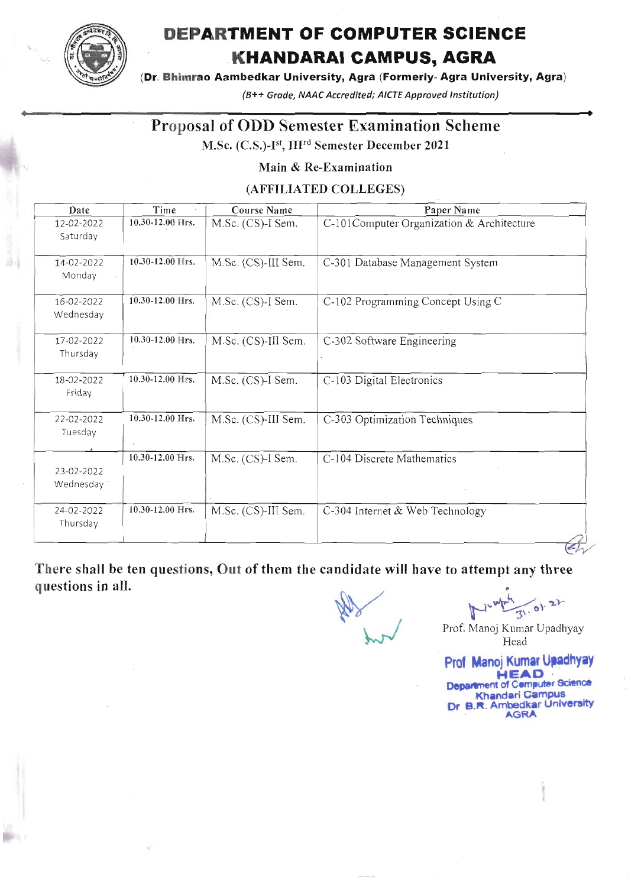

# DEPARTMENT OF COMPUTER SGIENGE KHANDARAI GAMPUS, AGRA

(Dr. Bhimrao Aambedkar University, Agra (Formerly- Agra University, Agra)

(B++ Grade, NAAC Accredited; AICTE Approved Institution)

## Proposal of ODD Semester Examination Scheme

M.Sc. (C.S.)-I<sup>st</sup>, III<sup>rd</sup> Semester December 2021

Main & Re-Examination

(AFFILIATED COLLEGES)

| Date                    | Time                 | Course Name         | Paper Name                                |
|-------------------------|----------------------|---------------------|-------------------------------------------|
| 12-02-2022<br>Saturday  | 10.30-12.00 Hrs.     | M.Sc. (CS)-I Sem.   | C-101Computer Organization & Architecture |
| 14-02-2022<br>Monday    | 10.30-12.00 Hrs.     | M.Sc. (CS)-III Sem. | C-301 Database Management System          |
| 16-02-2022<br>Wednesday | 10.30-12.00 Hrs.     | M.Sc. (CS)-I Sem.   | C-102 Programming Concept Using C         |
| 17-02-2022<br>Thursday  | 10.30-12.00 Hrs.     | M.Sc. (CS)-III Sem. | C-302 Software Engineering                |
| 18-02-2022<br>Friday    | 10.30-12.00 Hrs.     | M.Sc. (CS)-I Sem.   | C-103 Digital Electronics                 |
| 22-02-2022<br>Tuesday   | 10.30-12.00 Hrs.     | M.Sc. (CS)-III Sem. | C-303 Optimization Techniques             |
| 23-02-2022<br>Wednesday | $10.30 - 12.00$ Hrs. | M.Sc. (CS)-I Sem.   | C-104 Discrete Mathematics                |
| 24-02-2022<br>Thursday  | 10.30-12.00 Hrs.     | M.Sc. (CS)-III Sem. | C-304 Internet & Web Technology           |

There shall be ten questions, Out of them the candidate will have to attempt any three questions in all.

Ny Kand

 $\frac{1}{10}$   $22$ 

Prof. Manoj Kumar Upadhyay Head

Prof Manoj Kumar Upadhyay **HEAD** Department of Computer Science **Khandari Campus** Dr B.R. Ambedkar University<br>AGRA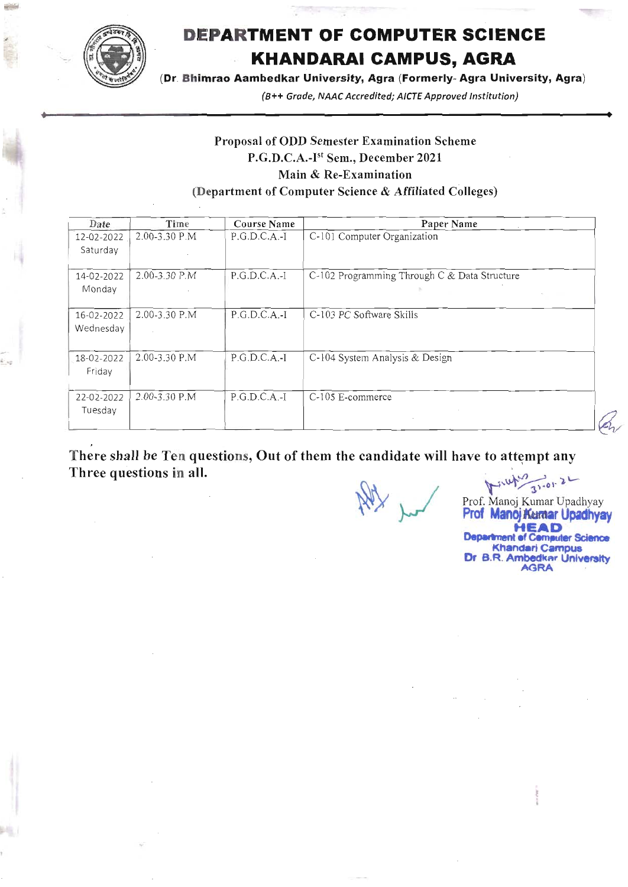

\*d

# DEPARTMENT OF GOMPUTER SCIENGE KHANDARAI GAMPUS, AGRA

(Dr. Bhimrao Aambedkar University, Agra (Formerly- Agra University, Agra)

(B++ Grade, NAAC Accredited; AICTE Approved Institution)

### Proposal of ODD Semester Examination Scheme P.G.D.C.A.-I<sup>st</sup> Sem., December 2021 Main & Re-Examination (Department of Computer Science & Affiliated Colleges)

| Date                    | Time                            | <b>Course Name</b> | Paper Name                                   |  |
|-------------------------|---------------------------------|--------------------|----------------------------------------------|--|
| 12-02-2022<br>Saturday  | 2.00-3.30 P.M                   | $P.G.D.C.A.-I$     | C-101 Computer Organization                  |  |
| 14-02-2022<br>Monday    | 2.00-3.30 P.M                   | $P.G.D.C.A.-I$     | C-102 Programming Through C & Data Structure |  |
| 16-02-2022<br>Wednesday | 2.00-3.30 P.M<br>$\sim 10^{-1}$ | $P.G.D.C.A.-I$     | C-103 PC Software Skills                     |  |
| 18-02-2022<br>Friday    | 2.00-3.30 P.M                   | $P.G.D.C.A.-I$     | C-104 System Analysis & Design               |  |
| 22-02-2022<br>Tuesday   | 2.00-3.30 P.M                   | $P.G.D.C.A.-I$     | C-105 E-commerce<br>$\;$                     |  |

There shall be Ten questions, Out of them the candidate will have to attempt any Three questions in all.

Nelly your

 $\mu_1$   $\mu_2$ <br>Prof. Manoj Kumar Upadhyay

Prof Manoi Kumar Upadhyay **HEAD Department of Cemputer Science** Khandari Campus<br>Dr B.R. Ambedkar University<br>AGRA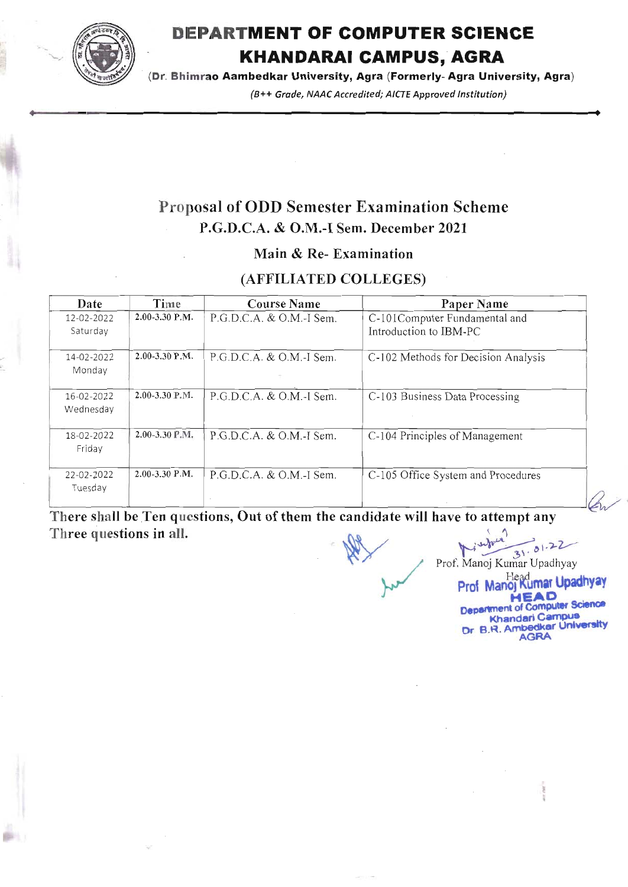

# **DEPARTMENT OF COMPUTER SCIENCE KHANDARAI CAMPUS, AGRA**

(Dr. Bhimrao Aambedkar University, Agra (Formerly-Agra University, Agra)

(B++ Grade, NAAC Accredited; AICTE Approved Institution)

# **Proposal of ODD Semester Examination Scheme** P.G.D.C.A. & O.M.-I Sem. December 2021

### Main & Re-Examination

### (AFFILIATED COLLEGES)

| Date                    | Time               | <b>Course Name</b>         | Paper Name                                              |  |
|-------------------------|--------------------|----------------------------|---------------------------------------------------------|--|
| 12-02-2022<br>Saturday  | $2.00-3.30$ P.M.   | $P.G.D.C.A. & O.M.-I Sem.$ | C-101Computer Fundamental and<br>Introduction to IBM-PC |  |
| 14-02-2022<br>Monday    | $2.00 - 3.30$ P.M. | $P.G.D.C.A. & O.M.-I Sem.$ | C-102 Methods for Decision Analysis                     |  |
| 16-02-2022<br>Wednesday | 2.00-3.30 P.M.     | $P.G.D.C.A. & O.M.-I Sem.$ | C-103 Business Data Processing                          |  |
| 18-02-2022<br>Friday    | 2.00-3.30 P.M.     | $P.G.D.C.A. & O.M.-I Sem.$ | C-104 Principles of Management                          |  |
| 22-02-2022<br>Tuesday   | $2.00 - 3.30$ P.M. | $P.G.D.C.A. & O.M.-I Sem.$ | C-105 Office System and Procedures                      |  |

There shall be Ten questions, Out of them the candidate will have to attempt any Three questions in all.

Prof. Manoj Kumar Upadhyay

Prof Manoj Kumar Upadhyay EAD **Department of Computer Science Khandari Campus** Dr B.R. Ambedkar University AGRA

 $\theta$  $31$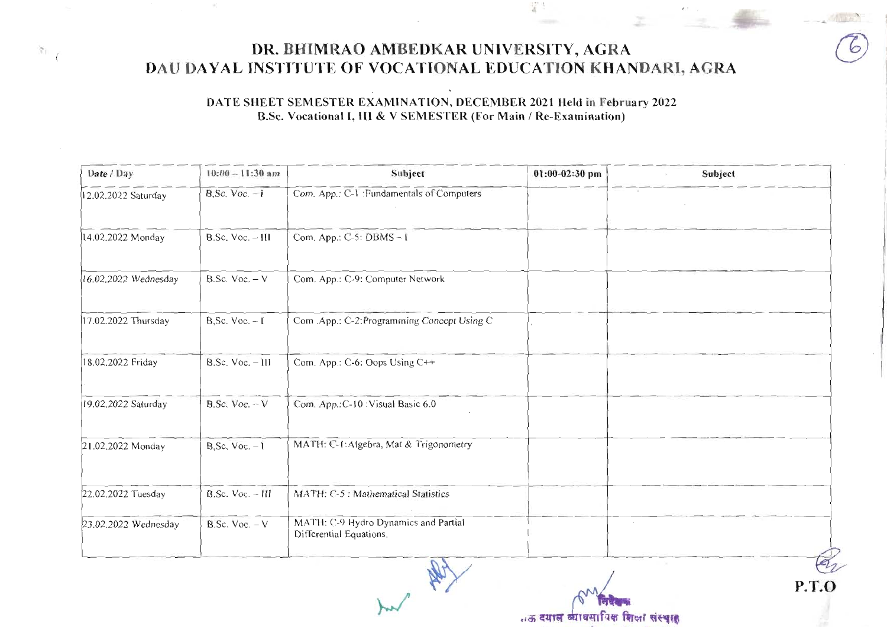### DR. BHIMRAO AMBEDKAR UNIVERSITY, AGRA DAU DAYAL INSTITUTE OF VOCATIONAL EDUCATION KHANDARI, AGRA

 $r_{\perp}$ 

 $\frac{\pi}{4}$ 

### DATE SHEET SEMESTER EXAMINATION, DECEMBER 2021 Held in February 2022 B.Sc. Vocational I, III & V SEMESTER (For Main / Re-Examination)

| $10:00 - 11:30$ am   | Subject                                                         | $01:00-02:30$ pm | Subject |
|----------------------|-----------------------------------------------------------------|------------------|---------|
| $B,$ Sc. Voc. $-1$   | Com. App.: C-1 : Fundamentals of Computers                      |                  |         |
| B.Sc. Voc. - III     | Com. App.: C-5: DBMS-1                                          |                  |         |
| B.Sc. Voc. $-V$      | Com. App.: C-9: Computer Network                                |                  |         |
| B, Sc. Voc. $-1$     | Com .App.: C-2:Programming Concept Using C                      |                  |         |
| $B.Sc.$ Voc. $-$ III | Com. App.: C-6: Oops Using C++                                  |                  |         |
| B.Sc. Voc. $-V$      | Com. App.: C-10 : Visual Basic 6.0                              |                  |         |
| B, Sc. Voc. $-1$     | MATH: C-1: Algebra, Mat & Trigonometry                          |                  |         |
| B.Sc. Voc. - III     | MATH: C-5 : Mathematical Statistics                             |                  |         |
| B.Sc. Voc. $-V$      | MATH: C-9 Hydro Dynamics and Partial<br>Differential Equations. |                  |         |
|                      |                                                                 |                  |         |

..ऊ दयाल व्यावसायिक शिक्षा संस्थात

**P.T.O**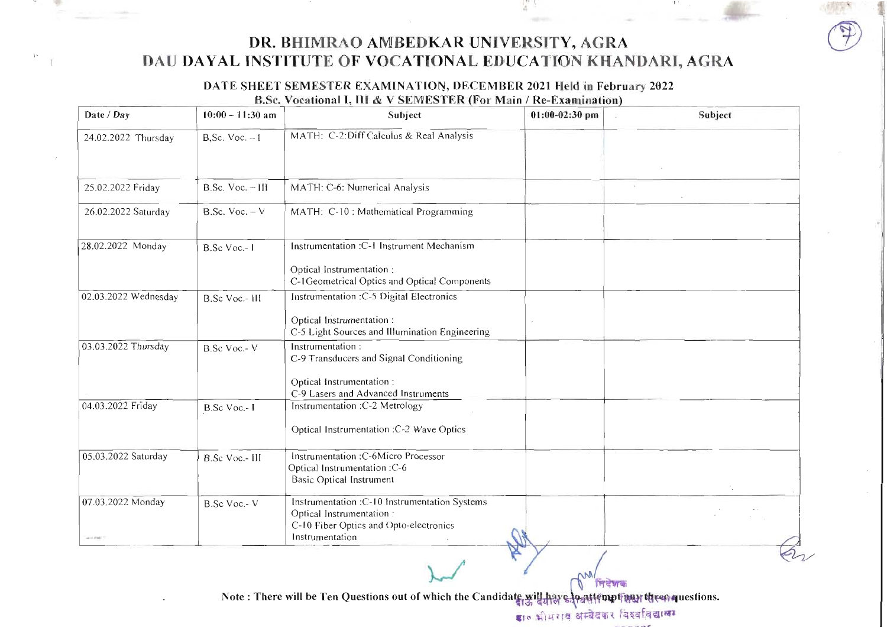

### DATE SHEET SEMESTER EXAMINATION, DECEMBER 2021 Held in February 2022 B.Sc. Vocational I, III & V SEMESTER (For Main / Re-Examination)

| Date / Day                   | $10:00 - 11:30$ am  | Subject                                                                                                                                   | $01:00-02:30$ pm           | Subject |
|------------------------------|---------------------|-------------------------------------------------------------------------------------------------------------------------------------------|----------------------------|---------|
| 24.02.2022 Thursday          | $B,$ Sc. Voc. $-I$  | MATH: C-2: Diff Calculus & Real Analysis                                                                                                  |                            |         |
| 25.02.2022 Friday            | $B.Sc.$ Voc. $-III$ | MATH: C-6: Numerical Analysis                                                                                                             | $\mathcal{L}_{\text{eff}}$ |         |
| 26.02.2022 Saturday          | $B.Sc.$ Voc. $-V$   | MATH: C-10 : Mathematical Programming                                                                                                     |                            |         |
| 28.02.2022 Monday            | B.Sc Voc.-1         | Instrumentation :C-1 Instrument Mechanism<br>Optical Instrumentation :<br>C-1Geometrical Optics and Optical Components                    |                            |         |
| 02.03.2022 Wednesday         | B.Sc Voc.- III      | Instrumentation : C-5 Digital Electronics<br>Optical Instrumentation:                                                                     |                            |         |
| 03.03.2022 Thursday          | B.Sc Voc.- V        | C-5 Light Sources and Illumination Engineering<br>Instrumentation:<br>C-9 Transducers and Signal Conditioning<br>Optical Instrumentation: |                            |         |
| 04.03.2022 Friday            | B.Sc Voc.-I         | C-9 Lasers and Advanced Instruments<br>Instrumentation : C-2 Metrology<br>Optical Instrumentation : C-2 Wave Optics                       |                            |         |
| 05.03.2022 Saturday          | B.Sc Voc.- III      | Instrumentation :C-6Micro Processor<br>Optical Instrumentation: C-6<br><b>Basic Optical Instrument</b>                                    |                            |         |
| 07.03.2022 Monday<br>4011700 | B.Sc Voc.-V         | Instrumentation : C-10 Instrumentation Systems<br>Optical Instrumentation:<br>C-10 Fiber Optics and Opto-electronics<br>Instrumentation   |                            |         |

Note: There will be Ten Questions out of which the Candidate will have lo attempting then questions.

डा० भीभराव अम्बेदकर विश्वविद्यालय

निदेशक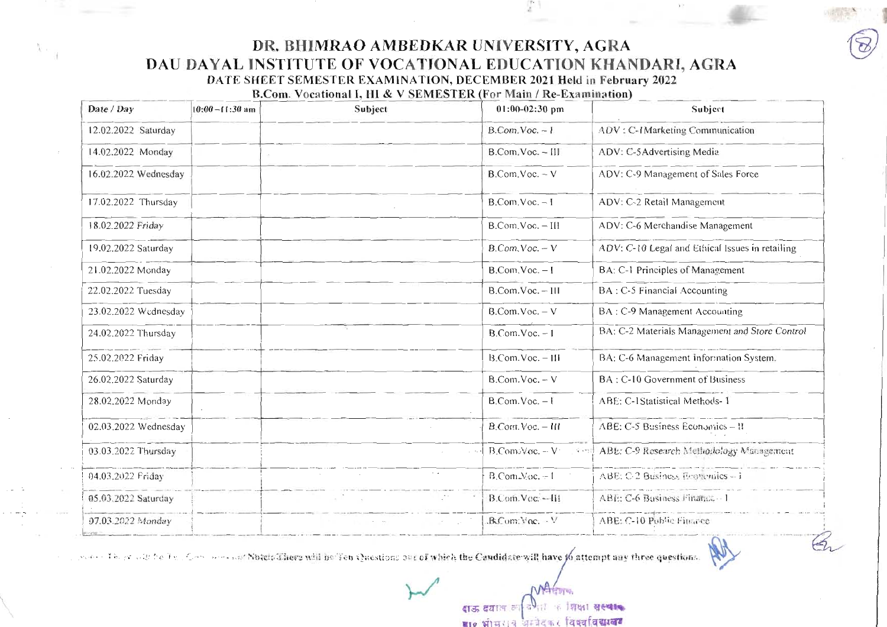DR. BHIMRAO AMBEDKAR UNIVERSITY, AGRA DAU DAYAL INSTITUTE OF VOCATIONAL EDUCATION KHANDARI, AGRA

 $x \circ \frac{1}{3}$ 

DATE SHEET SEMESTER EXAMINATION, DECEMBER 2021 Held in February 2022

B.Com. Vocational I, HI & V SEMESTER (For Main / Re-Examination)

| Date / Day           | $10:00 - 11:30$ am | Subject |                    | 01:00-02:30 pm                       | Subject                                         |
|----------------------|--------------------|---------|--------------------|--------------------------------------|-------------------------------------------------|
| 12.02.2022 Saturday  |                    |         |                    | $B. Com. Voc. - I$                   | ADV: C-IMarketing Communication                 |
| 14.02.2022 Monday    |                    |         |                    | B.Com.Voc. - III                     | ADV: C-5Advertising Media                       |
| 16.02.2022 Wednesday |                    |         |                    | $B$ .Com.Voc. - V                    | ADV: C-9 Management of Sales Force              |
| 17.02.2022 Thursday  |                    |         |                    | $B$ .Com.Voc. - I                    | ADV: C-2 Retail Management                      |
| 18.02.2022 Friday    |                    |         |                    | B.Com.Voc. - III                     | ADV: C-6 Merchandise Management                 |
| 19.02.2022 Saturday  |                    |         |                    | B.Com.Voc. - V                       | ADV: C-10 Legal and Ethical Issues in retailing |
| 21.02.2022 Monday    |                    |         |                    | $B. Com.Voc. - I$                    | BA: C-1 Principles of Management                |
| 22.02.2022 Tuesday   |                    |         |                    | B.Com.Voc. - III                     | BA: C-5 Financial Accounting                    |
| 23.02.2022 Wednesday |                    |         |                    | $B. Com. Voc. - V$                   | BA: C-9 Management Accounting                   |
| 24.02.2022 Thursday  |                    |         |                    | $B. Com.Voc. - I$                    | BA: C-2 Materials Management and Store Control  |
| 25.02.2022 Friday    |                    |         |                    | B.Com.Voc. - III                     | BA: C-6 Management Information System.          |
| 26.02.2022 Saturday  |                    |         |                    | $B$ .Com.Voc. - V                    | BA: C-10 Government of Business                 |
| 28.02.2022 Monday    |                    |         |                    | $B. Com. Voc. - I$                   | ABE: C-1Statistical Methods-1                   |
| 02.03.2022 Wednesday |                    |         |                    | B.Com.Voc. - III                     | ABE: C-5 Business Economics - II                |
| 03.03.2022 Thursday  |                    |         |                    | $B$ .Com: $V$ oc. -- $V$<br>Started. | ABE: C-9 Research Methodology Management        |
| 04.03.2022 Friday    |                    |         | $\sim$ $\sim$      | $B$ . Com. Voc. $-1$                 | ABE: C-2 Business Economics -- i                |
| 05.03.2022 Saturday  |                    |         | $\mathbb{R}^{n+1}$ | B.Com.Vec.--III                      | ABE: C-6 Business Finance - 1                   |
| 07.03.2022 Monday    |                    |         |                    | B.Com: Yoc. V                        | ABE: C-10 Public Finance                        |

Notes There with the Full Communication Match There will be Ten Questions one of which the Candidate will have 10 attempt any three questions.

का शिक्षा संस्थाक दाऊ दयाल का ष्टा० भाषा । व अम्बेदकर विद्यालय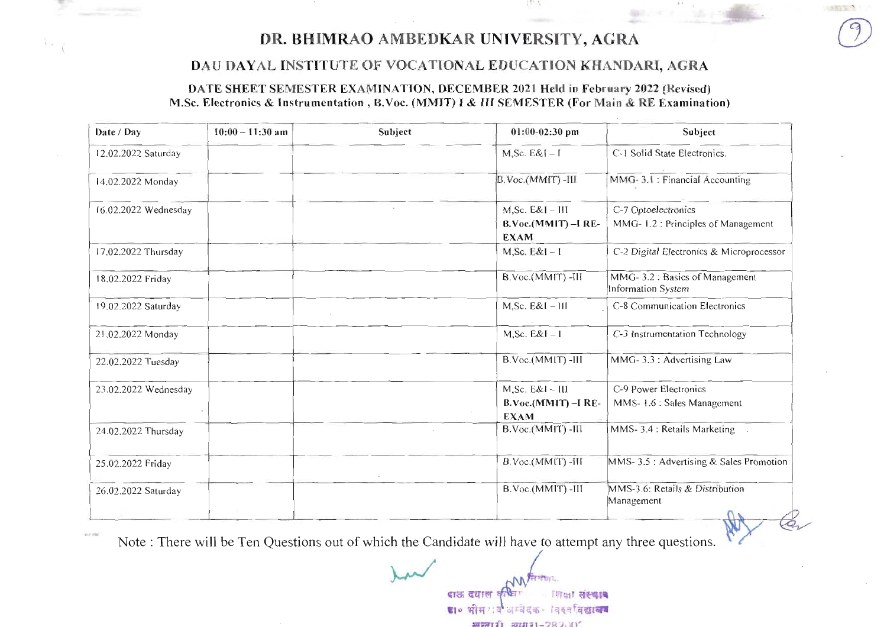

 $\mathcal{N} = \mathcal{N}$ 

M

### DAU DAYAL INSTITUTE OF VOCATIONAL EDUCATION KHANDARI, AGRA

### DATE SHEET SEMESTER EXAMINATION, DECEMBER 2021 Held in February 2022 (Revised) M.Sc. Electronics & Instrumentation, B.Voc. (MMIT) I & III SEMESTER (For Main & RE Examination)

| Date / Day           | $10:00 - 11:30$ am | Subject | $01:00-02:30$ pm                                              | Subject                                                    |
|----------------------|--------------------|---------|---------------------------------------------------------------|------------------------------------------------------------|
| 12.02.2022 Saturday  |                    |         | $M, Sc. E&I-I$                                                | C-1 Solid State Electronics.                               |
| 14.02.2022 Monday    |                    |         | B.Voc.(MMIT)-III                                              | MMG-3.1: Financial Accounting                              |
| 16.02.2022 Wednesday |                    |         | $M,$ Sc. $E&I - III$<br>$B.Voc.(MMIT) - I RE-$<br><b>EXAM</b> | C-7 Optoelectronics<br>MMG-1.2: Principles of Management   |
| 17.02.2022 Thursday  |                    |         | $M, Sc. E&I - I$                                              | C-2 Digital Electronics & Microprocessor                   |
| 18.02.2022 Friday    |                    |         | B.Voc.(MMIT) -III                                             | MMG-3.2: Basics of Management<br>Information System        |
| 19.02.2022 Saturday  |                    |         | $M, Sc. E&I - III$                                            | C-8 Communication Electronics                              |
| 21.02.2022 Monday    |                    |         | $M, Sc. E&I - I$                                              | C-3 Instrumentation Technology                             |
| 22.02.2022 Tuesday   |                    |         | B.Voc.(MMIT) -III                                             | MMG-3.3: Advertising Law                                   |
| 23.02.2022 Wednesday |                    |         | $M, Sc. E&I - III$<br>B.Voc.(MMIT) -I RE-<br><b>EXAM</b>      | C-9 Power Electronics<br>MMS-1.6 : Sales Management        |
| 24.02.2022 Thursday  |                    |         | B.Voc.(MMIT) -III                                             | MMS-3.4 : Retails Marketing                                |
| 25.02.2022 Friday    |                    |         | B.Voc.(MMIT) -III                                             | MMS- 3.5 : Advertising & Sales Promotion                   |
| 26.02.2022 Saturday  |                    |         | B.Voc.(MMIT) -III                                             | MMS-3.6: Retails & Distribution<br>Management<br>$\bigcap$ |

Note: There will be Ten Questions out of which the Candidate will have to attempt any three questions.

 $40.7, 120$ 

दाऊ दयाल कथिन गिक्षा संस्थान डा० भीम खबे अम्बेदक विकासिद्यालय FIRST 20171-282.10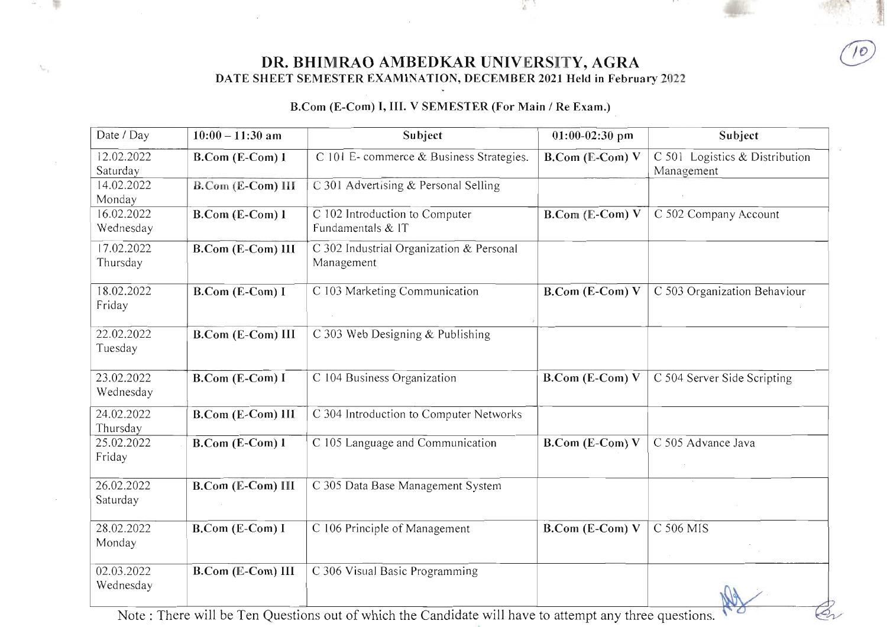DR. BHIMRAO AMBEDKAR UNIVERSITY, AGRA DATE SHEET SEMESTER EXAMINATION, DECEMBER 2021 Held in February 2022

2

m

B.Com (E-Com) I, III. V SEMESTER (For Main / Re Exam.)

| Date / Day              | $10:00 - 11:30$ am       | Subject                                                | $01:00-02:30$ pm                      | Subject                                      |
|-------------------------|--------------------------|--------------------------------------------------------|---------------------------------------|----------------------------------------------|
| 12.02.2022<br>Saturday  | <b>B.Com</b> (E-Com) 1   | C 101 E- commerce & Business Strategies.               | B.Com (E=Com) V                       | C 501 Logistics & Distribution<br>Management |
| 14.02.2022<br>Monday    | <b>B.Com (E-Com) III</b> | C 301 Advertising & Personal Selling                   |                                       |                                              |
| 16.02.2022<br>Wednesday | B.Com (E-Com) 1          | C 102 Introduction to Computer<br>Fundamentals & IT    | $B$ . $Con$ <sub>(E</sub> - $Com$ ) V | C 502 Company Account                        |
| 17.02.2022<br>Thursday  | <b>B.Com (E-Com) III</b> | C 302 Industrial Organization & Personal<br>Management |                                       |                                              |
| 18.02.2022<br>Friday    | B.Com (E-Com) I          | C 103 Marketing Communication                          | $B. Com (E-Com) V$                    | C 503 Organization Behaviour                 |
| 22.02.2022<br>Tuesday   | <b>B.Com (E-Com) III</b> | C 303 Web Designing & Publishing                       |                                       |                                              |
| 23.02.2022<br>Wednesday | <b>B.Com (E-Com) I</b>   | C 104 Business Organization                            | B.Com (E-Com) V                       | C 504 Server Side Scripting                  |
| 24.02.2022<br>Thursday  | B.Com (E-Com) III        | C 304 Introduction to Computer Networks                |                                       |                                              |
| 25.02.2022<br>Friday    | B.Com (E-Com) 1          | $C$ 105 Language and Communication                     | B.Com (E-Com) V                       | C 505 Advance Java                           |
| 26.02.2022<br>Saturday  | B.Com (E-Com) III        | C 305 Data Base Management System                      |                                       |                                              |
| 28.02.2022<br>Monday    | B.Com (E-Com) I          | C 106 Principle of Management                          | B.Com (E-Com) V                       | $C$ 506 MIS                                  |
| 02.03.2022<br>Wednesday | B.Com (E-Com) III        | C 306 Visual Basic Programming                         |                                       |                                              |

Note: There will be Ten Questions out of which the Candidate will have to attempt any three questions.

 $\mathcal{L}_{\mathcal{A}}$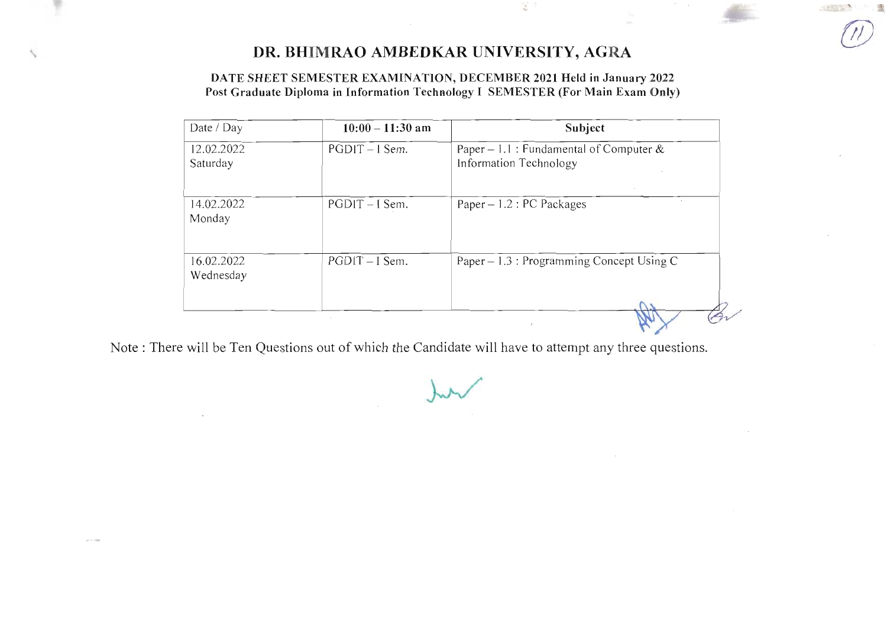$\frac{1}{2}$  ) :

**SANDARY** 

DATE SHEET SEMESTER EXAMINATION, DECEMBER 2021 Held in January 2022 Post Graduate Diploma in Information Technology I SEMESTER (For Main Exam Only)

| Date / Day              | $10:00 - 11:30$ am | Subject                                                              |
|-------------------------|--------------------|----------------------------------------------------------------------|
| 12.02.2022<br>Saturday  | $PGDIT - I Sem.$   | Paper – 1.1 : Fundamental of Computer $\&$<br>Information Technology |
| 14.02.2022<br>Monday    | $PGDIT - I Sem.$   | Paper $-1.2$ : PC Packages                                           |
| 16.02.2022<br>Wednesday | $PGDIT-I Sem.$     | Paper $-1.3$ : Programming Concept Using C                           |
|                         | $\sim$             | ×.                                                                   |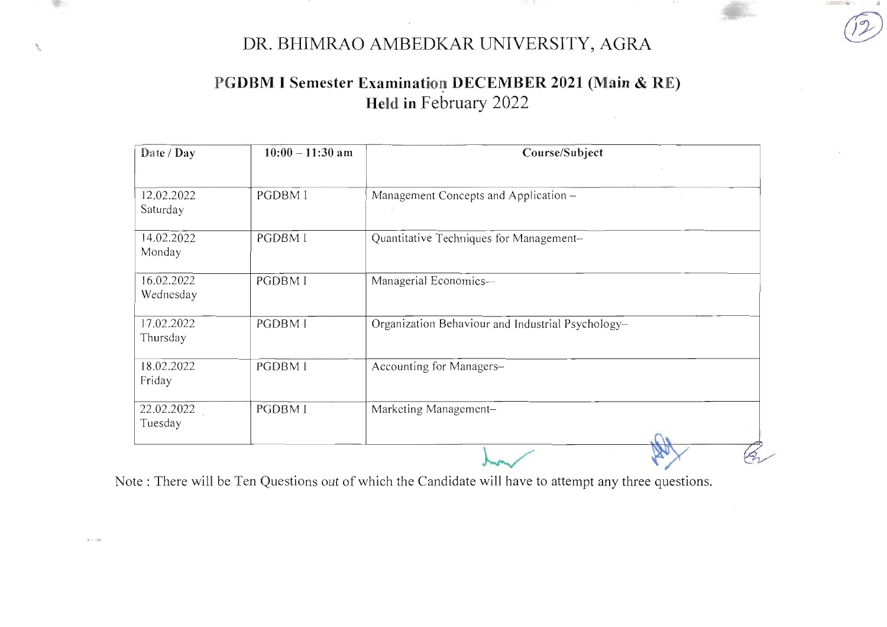12 B

# PGDBM I Semester Examination DECEMBER 2021 (Main & RE) Held in February 2022

| Date / Day              | $10:00 - 11:30$ am | Course/Subject                                    |
|-------------------------|--------------------|---------------------------------------------------|
| 12.02.2022<br>Saturday  | <b>PGDBM I</b>     | Management Concepts and Application -             |
| 14.02.2022<br>Monday    | PGDBM I            | Quantitative Techniques for Management-           |
| 16.02.2022<br>Wednesday | <b>PGDBMI</b>      | Managerial Economics-                             |
| 17.02.2022<br>Thursday  | PGDBM I            | Organization Behaviour and Industrial Psychology- |
| 18.02.2022<br>Friday    | PGDBM I            | Accounting for Managers-                          |
| 22.02.2022<br>Tuesday   | <b>PGDBMI</b>      | Marketing Management-                             |
|                         |                    |                                                   |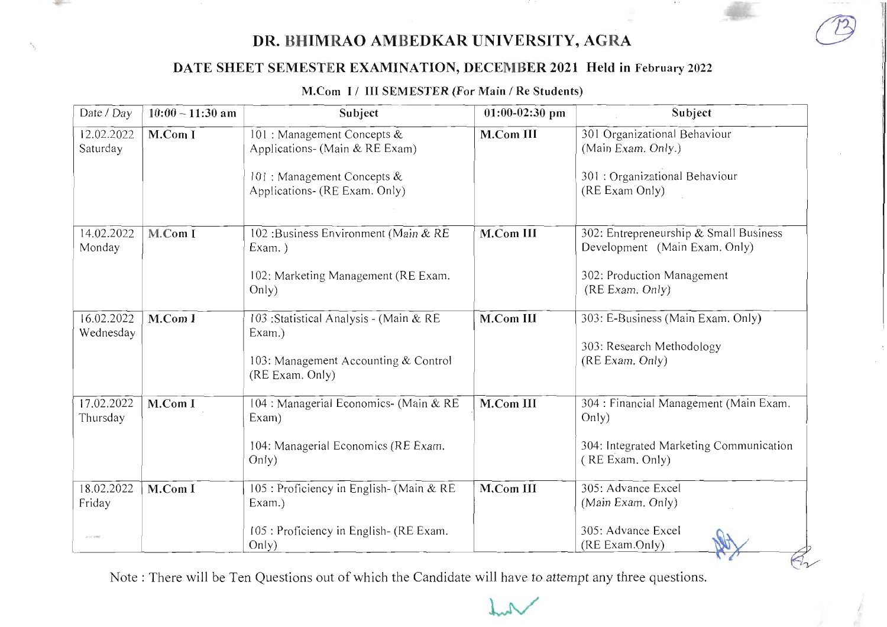**HOLLY** 

### DATE SHEET SEMESTER EXAMINATION, DECEMBER 2021 Held in February 2022

### M.Com I/ III SEMESTER (For Main / Re Students)

| Date / Day                           | $10:00 - 11:30$ am | Subject                                                                                                                       | $01:00-02:30$ pm | Subject                                                                                                                  |
|--------------------------------------|--------------------|-------------------------------------------------------------------------------------------------------------------------------|------------------|--------------------------------------------------------------------------------------------------------------------------|
| 12.02.2022<br>Saturday               | M.Com I            | 101 : Management Concepts &<br>Applications- (Main & RE Exam)<br>101 : Management Concepts &<br>Applications- (RE Exam. Only) | M.Com III        | 301 Organizational Behaviour<br>(Main Exam. Only.)<br>301 : Organizational Behaviour<br>(RE Exam Only)                   |
| 14.02.2022<br>Monday                 | M.Com I            | 102: Business Environment (Main & RE<br>Exam.)<br>102: Marketing Management (RE Exam.<br>Only)                                | M.Com III        | 302: Entrepreneurship & Small Business<br>Development (Main Exam. Only)<br>302: Production Management<br>(RE Exam. Only) |
| 16.02.2022<br>Wednesday              | M.Com I            | 103 : Statistical Analysis - (Main & RE<br>Exam.)<br>103: Management Accounting & Control<br>(RE Exam. Only)                  | M.Com III        | 303: E-Business (Main Exam. Only)<br>303: Research Methodology<br>(RE Exam. Only)                                        |
| 17.02.2022<br>Thursday               | M.Com I            | 104 : Managerial Economics- (Main & RE<br>Exam)<br>104: Managerial Economics (RE Exam.<br>Only)                               | M.Com III        | 304 : Financial Management (Main Exam.<br>Only)<br>304: Integrated Marketing Communication<br>(RE Exam. Only)            |
| 18.02.2022<br>Friday<br>$4 - 1$ (30) | M.Com I            | 105 : Proficiency in English- (Main & RE<br>Exam.)<br>105 : Proficiency in English- (RE Exam.<br>Only)                        | M.Com III        | 305: Advance Excel<br>(Main Exam. Only)<br>305: Advance Excel<br>(RE Exam.Only)                                          |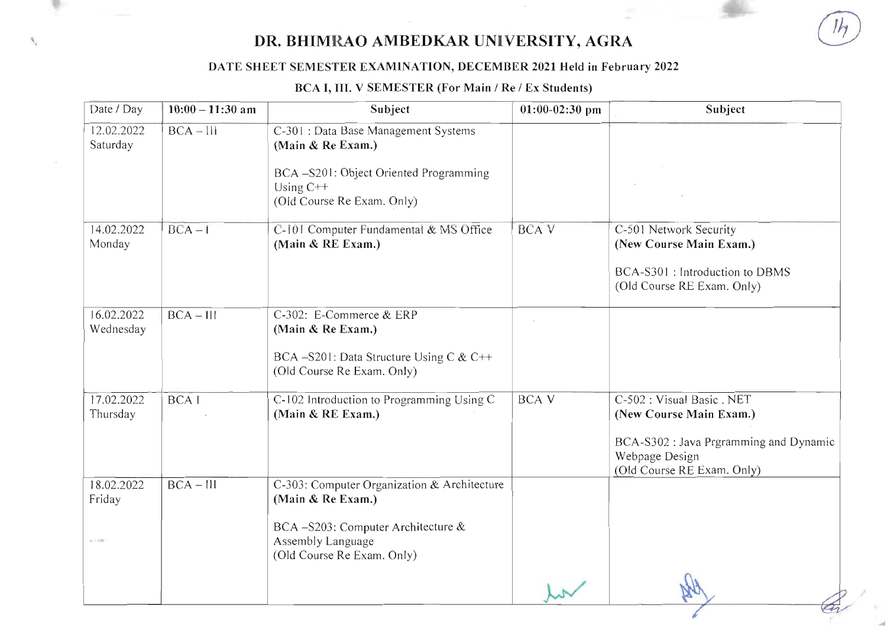### DATE SHEET SEMESTER EXAMINATION, DECEMBER 2021 Held in February 2022

 $S_{\rm c}$ 

### BCA I, III. V SEMESTER (For Main / Re / Ex Students)

| Date / Day                         | $10:00 - 11:30$ am | Subject                                                                                                                                                  | $01:00-02:30$ pm | Subject                                                                                                                                                      |
|------------------------------------|--------------------|----------------------------------------------------------------------------------------------------------------------------------------------------------|------------------|--------------------------------------------------------------------------------------------------------------------------------------------------------------|
| 12.02.2022<br>Saturday             | $BCA - III$        | C-301 : Data Base Management Systems<br>(Main & Re Exam.)<br>BCA-S201: Object Oriented Programming<br>Using $C++$<br>(Old Course Re Exam. Only)          |                  |                                                                                                                                                              |
| 14.02.2022<br>Monday               | $BCA - I$          | C-101 Computer Fundamental & MS Office<br>(Main & RE Exam.)                                                                                              | <b>BCAV</b>      | C-501 Network Security<br>(New Course Main Exam.)<br>BCA-S301 : Introduction to DBMS<br>(Old Course RE Exam. Only)                                           |
| 16.02.2022<br>Wednesday            | $BCA - III$        | C-302: E-Commerce & ERP<br>(Main & Re Exam.)<br>BCA -S201: Data Structure Using C & C++<br>(Old Course Re Exam. Only)                                    |                  |                                                                                                                                                              |
| 17.02.2022<br>Thursday             | <b>BCAI</b>        | C-102 Introduction to Programming Using C<br>(Main & RE Exam.)                                                                                           | <b>BCA V</b>     | $\overline{C-502}$ : Visual Basic . NET<br>(New Course Main Exam.)<br>BCA-S302 : Java Prgramming and Dynamic<br>Webpage Design<br>(Old Course RE Exam. Only) |
| 18.02.2022<br>Friday<br>$\sim$ 100 | $BCA - III$        | C-303: Computer Organization & Architecture<br>(Main & Re Exam.)<br>BCA-S203: Computer Architecture &<br>Assembly Language<br>(Old Course Re Exam. Only) |                  |                                                                                                                                                              |
|                                    |                    |                                                                                                                                                          |                  |                                                                                                                                                              |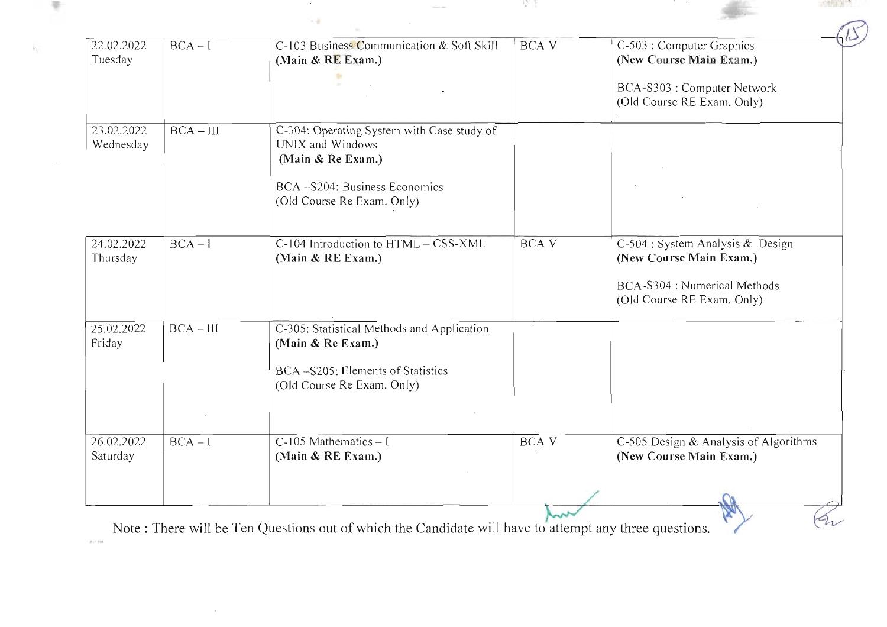| 22.02.2022<br>Tuesday   | $BCA - I$   | C-103 Business Communication & Soft Skill<br>(Main & RE Exam.)                      | <b>BCAV</b> | C-503 : Computer Graphics<br>(New Course Main Exam.)             |
|-------------------------|-------------|-------------------------------------------------------------------------------------|-------------|------------------------------------------------------------------|
|                         |             |                                                                                     |             | BCA-S303 : Computer Network<br>(Old Course RE Exam. Only)        |
| 23.02.2022<br>Wednesday | $BCA - III$ | C-304: Operating System with Case study of<br>UNIX and Windows<br>(Main & Re Exam.) |             |                                                                  |
|                         |             | BCA-S204: Business Economics<br>(Old Course Re Exam. Only)                          |             |                                                                  |
| 24.02.2022<br>Thursday  | $BCA-I$     | C-104 Introduction to HTML - CSS-XML<br>(Main & RE Exam.)                           | <b>BCAV</b> | C-504 : System Analysis & Design<br>(New Course Main Exam.)      |
|                         |             |                                                                                     |             | BCA-S304 : Numerical Methods<br>(Old Course RE Exam. Only)       |
| 25.02.2022<br>Friday    | $BCA - III$ | C-305: Statistical Methods and Application<br>(Main & Re Exam.)                     |             |                                                                  |
|                         |             | BCA -S205: Elements of Statistics<br>(Old Course Re Exam. Only)                     |             |                                                                  |
|                         |             |                                                                                     |             |                                                                  |
| 26.02.2022<br>Saturday  | $BCA - I$   | $C-105$ Mathematics - I<br>(Main & RE Exam.)                                        | <b>BCAV</b> | C-505 Design & Analysis of Algorithms<br>(New Course Main Exam.) |
|                         |             |                                                                                     |             |                                                                  |

 $\frac{1}{2} \left( \frac{1}{2} \right) \left( \frac{1}{2} \right) \left( \frac{1}{2} \right) \left( \frac{1}{2} \right)$ 

 $\sim 4$ 

 $-517002672$ 

Note: There will be Ten Questions out of which the Candidate will have to attempt any three questions.

 $46.0330$ 

天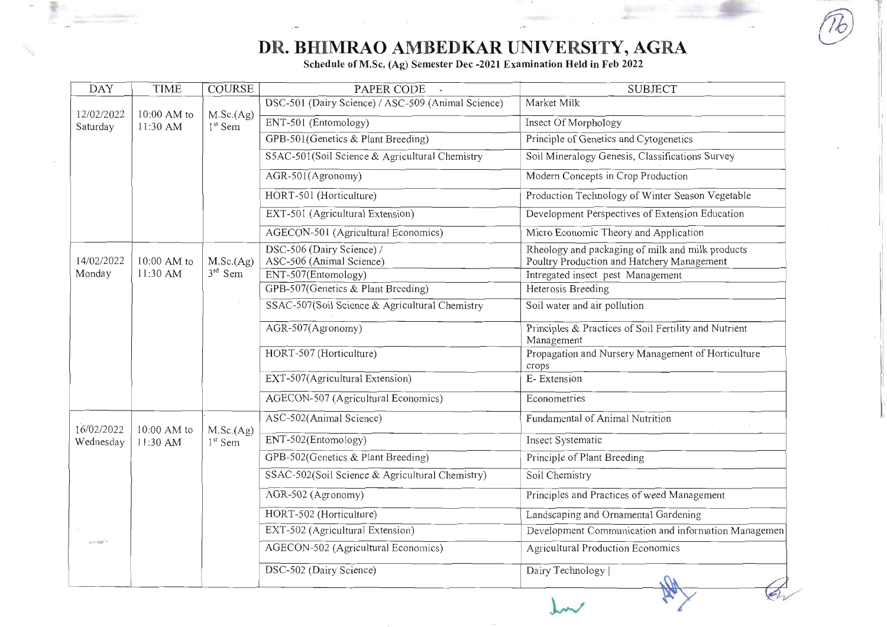$\overline{a}$ 

Schedule of M.Sc. (Ag) Semester Dec -2021 Examination Held in Feb 2022

| <b>DAY</b>              | <b>TIME</b>             | <b>COURSE</b>                    | PAPER CODE                                            | <b>SUBJECT</b>                                                                                 |
|-------------------------|-------------------------|----------------------------------|-------------------------------------------------------|------------------------------------------------------------------------------------------------|
| 12/02/2022              | 10:00 AM to             |                                  | DSC-501 (Dairy Science) / ASC-509 (Animal Science)    | Market Milk                                                                                    |
| Saturday                | 11:30 AM                | M.Sc.(Ag)<br>1 <sup>st</sup> Sem | ENT-501 (Entomology)                                  | Insect Of Morphology                                                                           |
|                         |                         |                                  | GPB-501 (Genetics & Plant Breeding)                   | Principle of Genetics and Cytogenetics                                                         |
|                         |                         |                                  | S5AC-501(Soil Science & Agricultural Chemistry        | Soil Mineralogy Genesis, Classifications Survey                                                |
|                         |                         |                                  | AGR-501(Agronomy)                                     | Modern Concepts in Crop Production                                                             |
|                         |                         |                                  | HORT-501 (Horticulture)                               | Production Technology of Winter Season Vegetable                                               |
|                         |                         |                                  | EXT-501 (Agricultural Extension)                      | Development Perspectives of Extension Education                                                |
|                         |                         |                                  | AGECON-501 (Agricultural Economics)                   | Micro Economic Theory and Application                                                          |
| 14/02/2022              | 10:00 AM to             | M.Sc.(Ag)                        | DSC-506 (Dairy Science) /<br>ASC-506 (Animal Science) | Rheology and packaging of milk and milk products<br>Poultry Production and Hatchery Management |
| Monday                  | 11:30 AM                | $3rd$ Sem                        | ENT-507(Entomology)                                   | Intregated insect pest Management                                                              |
|                         |                         |                                  | GPB-507(Genetics & Plant Breeding)                    | Heterosis Breeding                                                                             |
|                         |                         |                                  | SSAC-507(Soil Science & Agricultural Chemistry        | Soil water and air pollution                                                                   |
|                         |                         |                                  | AGR-507(Agronomy)                                     | Principles & Practices of Soil Fertility and Nutrient<br>Management                            |
|                         |                         |                                  | HORT-507 (Horticulture)                               | Propagation and Nursery Management of Horticulture<br>crops                                    |
|                         |                         |                                  | EXT-507(Agricultural Extension)                       | E-Extension                                                                                    |
|                         |                         |                                  | AGECON-507 (Agricultural Economics)                   | Econometries                                                                                   |
|                         |                         |                                  | ASC-502(Animal Science)                               | Fundamental of Animal Nutrition                                                                |
| 16/02/2022<br>Wednesday | 10:00 AM to<br>11:30 AM | M.Sc.(Ag)<br>$1st$ Sem           | ENT-502(Entomology)                                   | Insect Systematic                                                                              |
|                         |                         |                                  | GPB-502(Genetics & Plant Breeding)                    | Principle of Plant Breeding                                                                    |
|                         |                         |                                  | SSAC-502(Soil Science & Agricultural Chemistry)       | Soil Chemistry                                                                                 |
|                         |                         |                                  | AGR-502 (Agronomy)                                    | Principles and Practices of weed Management                                                    |
|                         |                         |                                  | HORT-502 (Horticulture)                               | Landscaping and Ornamental Gardening                                                           |
|                         |                         |                                  | EXT-502 (Agricultural Extension)                      | Development Communication and information Managemen                                            |
| $a = r m^{2}$           |                         |                                  | AGECON-502 (Agricultural Economics)                   | <b>Agricultural Production Economics</b>                                                       |
|                         |                         |                                  | DSC-502 (Dairy Science)                               | Dairy Technology                                                                               |
|                         |                         |                                  |                                                       |                                                                                                |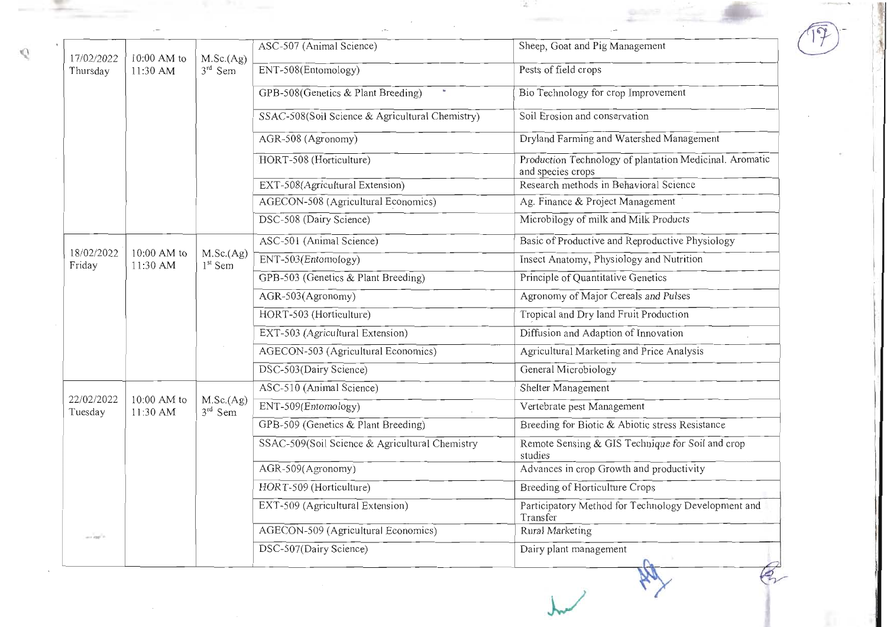|                        |                           |                                  | ASC-507 (Animal Science)                        | Sheep, Goat and Pig Management                                               |
|------------------------|---------------------------|----------------------------------|-------------------------------------------------|------------------------------------------------------------------------------|
| 17/02/2022<br>Thursday | $10:00$ AM to<br>11:30 AM | M.Sc.(Ag)<br>$3rd$ Sem           | ENT-508(Entomology)                             | Pests of field crops                                                         |
|                        |                           |                                  |                                                 |                                                                              |
|                        |                           |                                  | GPB-508(Genetics & Plant Breeding)              | Bio Technology for crop Improvement                                          |
|                        |                           |                                  | SSAC-508(Soil Science & Agricultural Chemistry) | Soil Erosion and conservation                                                |
|                        |                           |                                  | AGR-508 (Agronomy)                              | Dryland Farming and Watershed Management                                     |
|                        |                           |                                  | HORT-508 (Horticulture)                         | Production Technology of plantation Medicinal. Aromatic<br>and species crops |
|                        |                           |                                  | EXT-508(Agricultural Extension)                 | Research methods in Behavioral Science                                       |
|                        |                           |                                  | AGECON-508 (Agricultural Economics)             | Ag. Finance & Project Management                                             |
|                        |                           |                                  | DSC-508 (Dairy Science)                         | Microbilogy of milk and Milk Products                                        |
|                        |                           |                                  | ASC-501 (Animal Science)                        | Basic of Productive and Reproductive Physiology                              |
| 18/02/2022<br>Friday   | 10:00 AM to<br>11:30 AM   | M.Sc.(Ag)<br>1 <sup>st</sup> Sem | ENT-503(Entomology)                             | Insect Anatomy, Physiology and Nutrition                                     |
|                        |                           |                                  | GPB-503 (Genetics & Plant Breeding)             | Principle of Quantitative Genetics                                           |
|                        |                           |                                  | AGR-503(Agronomy)                               | Agronomy of Major Cereals and Pulses                                         |
|                        |                           |                                  | HORT-503 (Horticulture)                         | Tropical and Dry land Fruit Production                                       |
|                        |                           |                                  | EXT-503 (Agricultural Extension)                | Diffusion and Adaption of Innovation                                         |
|                        |                           |                                  | AGECON-503 (Agricultural Economics)             | Agricultural Marketing and Price Analysis                                    |
|                        |                           |                                  | DSC-503(Dairy Science)                          | General Microbiology                                                         |
|                        |                           |                                  | ASC-510 (Animal Science)                        | Shelter Management                                                           |
| 22/02/2022<br>Tuesday  | $10:00$ AM to<br>11:30 AM | M.Sc.(Ag)<br>$3rd$ Sem           | ENT-509(Entomology)                             | Vertebrate pest Management                                                   |
|                        |                           |                                  | GPB-509 (Genetics & Plant Breeding)             | Breeding for Biotic & Abiotic stress Resistance                              |
|                        |                           |                                  | SSAC-509(Soil Science & Agricultural Chemistry  | Remote Sensing & GIS Technique for Soil and crop<br>studies                  |
|                        |                           |                                  | AGR-509(Agronomy)                               | Advances in crop Growth and productivity                                     |
|                        |                           |                                  | HORT-509 (Horticulture)                         | Breeding of Horticulture Crops                                               |
|                        |                           |                                  | EXT-509 (Agricultural Extension)                | Participatory Method for Technology Development and<br>Transfer              |
| and the "              |                           |                                  | AGECON-509 (Agricultural Economics)             | Rural Marketing                                                              |
|                        |                           |                                  | DSC-507(Dairy Science)                          | Dairy plant management                                                       |

 $\mathbb{C}$ 

꾿